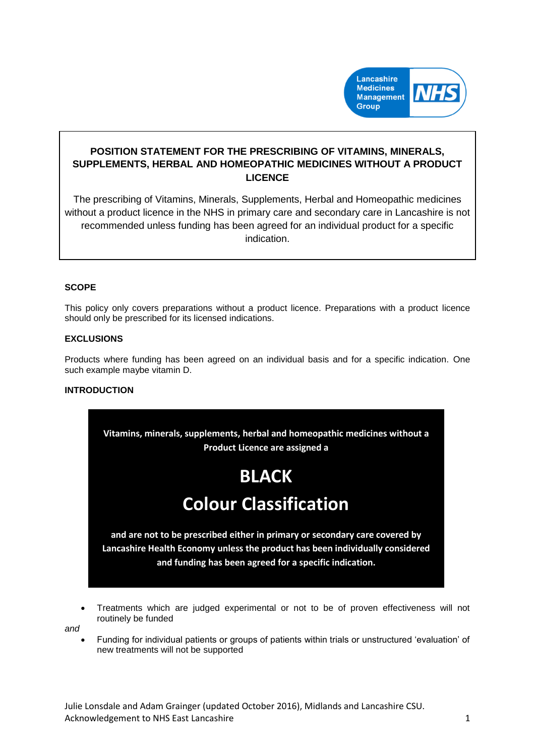

# **POSITION STATEMENT FOR THE PRESCRIBING OF VITAMINS, MINERALS, SUPPLEMENTS, HERBAL AND HOMEOPATHIC MEDICINES WITHOUT A PRODUCT LICENCE**

The prescribing of Vitamins, Minerals, Supplements, Herbal and Homeopathic medicines without a product licence in the NHS in primary care and secondary care in Lancashire is not recommended unless funding has been agreed for an individual product for a specific indication.

# **SCOPE**

This policy only covers preparations without a product licence. Preparations with a product licence should only be prescribed for its licensed indications.

# **EXCLUSIONS**

Products where funding has been agreed on an individual basis and for a specific indication. One such example maybe vitamin D.

# **INTRODUCTION**



 Treatments which are judged experimental or not to be of proven effectiveness will not routinely be funded

*and* 

 Funding for individual patients or groups of patients within trials or unstructured 'evaluation' of new treatments will not be supported **This also includes use of a licensed product outside of its licensed indication**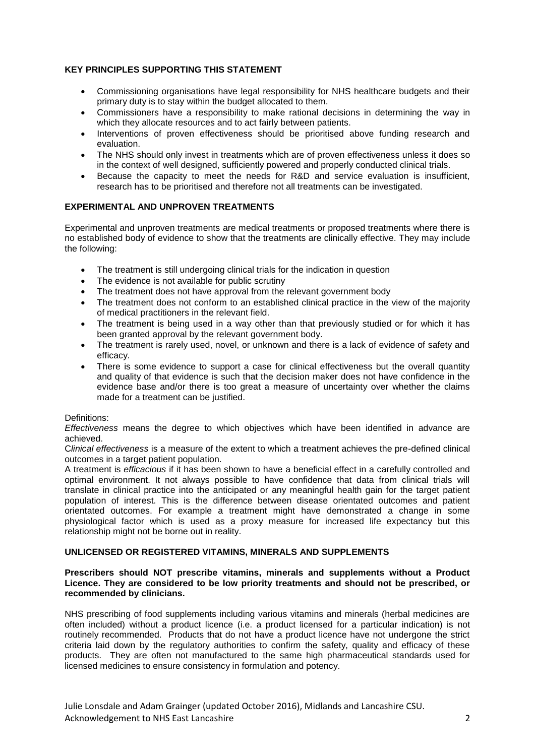# **KEY PRINCIPLES SUPPORTING THIS STATEMENT**

- Commissioning organisations have legal responsibility for NHS healthcare budgets and their primary duty is to stay within the budget allocated to them.
- Commissioners have a responsibility to make rational decisions in determining the way in which they allocate resources and to act fairly between patients.
- Interventions of proven effectiveness should be prioritised above funding research and evaluation.
- The NHS should only invest in treatments which are of proven effectiveness unless it does so in the context of well designed, sufficiently powered and properly conducted clinical trials.
- Because the capacity to meet the needs for R&D and service evaluation is insufficient, research has to be prioritised and therefore not all treatments can be investigated.

### **EXPERIMENTAL AND UNPROVEN TREATMENTS**

Experimental and unproven treatments are medical treatments or proposed treatments where there is no established body of evidence to show that the treatments are clinically effective. They may include the following:

- The treatment is still undergoing clinical trials for the indication in question
- The evidence is not available for public scrutiny
- The treatment does not have approval from the relevant government body
- The treatment does not conform to an established clinical practice in the view of the majority of medical practitioners in the relevant field.
- The treatment is being used in a way other than that previously studied or for which it has been granted approval by the relevant government body.
- The treatment is rarely used, novel, or unknown and there is a lack of evidence of safety and efficacy.
- There is some evidence to support a case for clinical effectiveness but the overall quantity and quality of that evidence is such that the decision maker does not have confidence in the evidence base and/or there is too great a measure of uncertainty over whether the claims made for a treatment can be justified.

#### Definitions:

*Effectiveness* means the degree to which objectives which have been identified in advance are achieved.

C*linical effectiveness* is a measure of the extent to which a treatment achieves the pre-defined clinical outcomes in a target patient population.

A treatment is *efficacious* if it has been shown to have a beneficial effect in a carefully controlled and optimal environment. It not always possible to have confidence that data from clinical trials will translate in clinical practice into the anticipated or any meaningful health gain for the target patient population of interest. This is the difference between disease orientated outcomes and patient orientated outcomes. For example a treatment might have demonstrated a change in some physiological factor which is used as a proxy measure for increased life expectancy but this relationship might not be borne out in reality.

#### **UNLICENSED OR REGISTERED VITAMINS, MINERALS AND SUPPLEMENTS**

### **Prescribers should NOT prescribe vitamins, minerals and supplements without a Product Licence. They are considered to be low priority treatments and should not be prescribed, or recommended by clinicians.**

NHS prescribing of food supplements including various vitamins and minerals (herbal medicines are often included) without a product licence (i.e. a product licensed for a particular indication) is not routinely recommended. Products that do not have a product licence have not undergone the strict criteria laid down by the regulatory authorities to confirm the safety, quality and efficacy of these products. They are often not manufactured to the same high pharmaceutical standards used for licensed medicines to ensure consistency in formulation and potency.